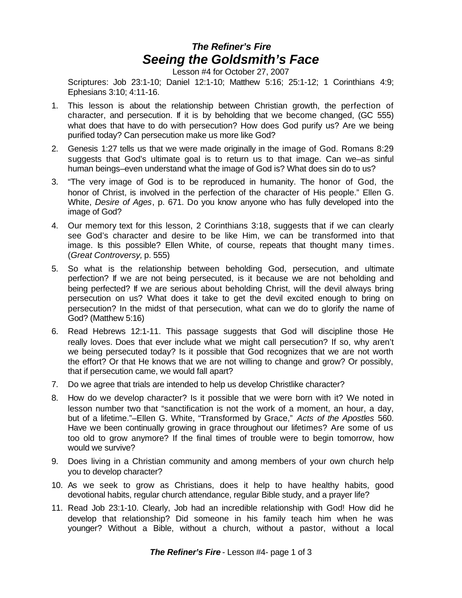## *The Refiner's Fire Seeing the Goldsmith's Face*

Lesson #4 for October 27, 2007

Scriptures: Job 23:1-10; Daniel 12:1-10; Matthew 5:16; 25:1-12; 1 Corinthians 4:9; Ephesians 3:10; 4:11-16.

- 1. This lesson is about the relationship between Christian growth, the perfection of character, and persecution. If it is by beholding that we become changed, (GC 555) what does that have to do with persecution? How does God purify us? Are we being purified today? Can persecution make us more like God?
- 2. Genesis 1:27 tells us that we were made originally in the image of God. Romans 8:29 suggests that God's ultimate goal is to return us to that image. Can we–as sinful human beings–even understand what the image of God is? What does sin do to us?
- 3. "The very image of God is to be reproduced in humanity. The honor of God, the honor of Christ, is involved in the perfection of the character of His people." Ellen G. White, *Desire of Ages*, p. 671. Do you know anyone who has fully developed into the image of God?
- 4. Our memory text for this lesson, 2 Corinthians 3:18, suggests that if we can clearly see God's character and desire to be like Him, we can be transformed into that image. Is this possible? Ellen White, of course, repeats that thought many times. (*Great Controversy,* p. 555)
- 5. So what is the relationship between beholding God, persecution, and ultimate perfection? If we are not being persecuted, is it because we are not beholding and being perfected? If we are serious about beholding Christ, will the devil always bring persecution on us? What does it take to get the devil excited enough to bring on persecution? In the midst of that persecution, what can we do to glorify the name of God? (Matthew 5:16)
- 6. Read Hebrews 12:1-11. This passage suggests that God will discipline those He really loves. Does that ever include what we might call persecution? If so, why aren't we being persecuted today? Is it possible that God recognizes that we are not worth the effort? Or that He knows that we are not willing to change and grow? Or possibly, that if persecution came, we would fall apart?
- 7. Do we agree that trials are intended to help us develop Christlike character?
- 8. How do we develop character? Is it possible that we were born with it? We noted in lesson number two that "sanctification is not the work of a moment, an hour, a day, but of a lifetime."–Ellen G. White, "Transformed by Grace," *Acts of the Apostles* 560. Have we been continually growing in grace throughout our lifetimes? Are some of us too old to grow anymore? If the final times of trouble were to begin tomorrow, how would we survive?
- 9. Does living in a Christian community and among members of your own church help you to develop character?
- 10. As we seek to grow as Christians, does it help to have healthy habits, good devotional habits, regular church attendance, regular Bible study, and a prayer life?
- 11. Read Job 23:1-10. Clearly, Job had an incredible relationship with God! How did he develop that relationship? Did someone in his family teach him when he was younger? Without a Bible, without a church, without a pastor, without a local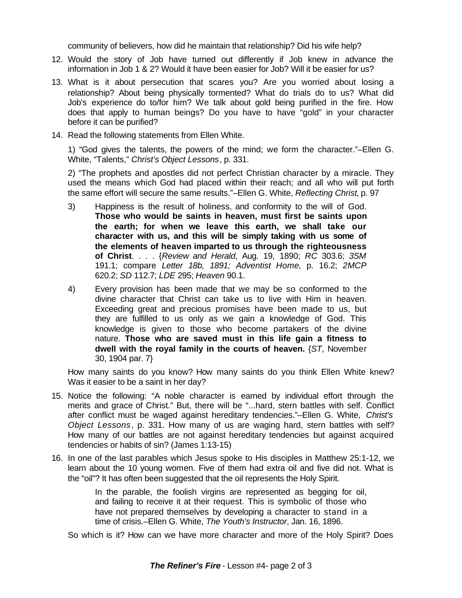community of believers, how did he maintain that relationship? Did his wife help?

- 12. Would the story of Job have turned out differently if Job knew in advance the information in Job 1 & 2? Would it have been easier for Job? Will it be easier for us?
- 13. What is it about persecution that scares you? Are you worried about losing a relationship? About being physically tormented? What do trials do to us? What did Job's experience do to/for him? We talk about gold being purified in the fire. How does that apply to human beings? Do you have to have "gold" in your character before it can be purified?
- 14. Read the following statements from Ellen White.

1) "God gives the talents, the powers of the mind; we form the character."–Ellen G. White, "Talents," *Christ's Object Lessons*, p. 331.

2) "The prophets and apostles did not perfect Christian character by a miracle. They used the means which God had placed within their reach; and all who will put forth the same effort will secure the same results."–Ellen G. White, *Reflecting Christ*, p. 97

- 3) Happiness is the result of holiness, and conformity to the will of God. **Those who would be saints in heaven, must first be saints upon the earth; for when we leave this earth, we shall take our character with us, and this will be simply taking with us some of the elements of heaven imparted to us through the righteousness of Christ**. . . . {*Review and Herald*, Aug. 19, 1890; *RC* 303.6; *3SM* 191.1; compare *Letter 18b, 1891; Adventist Home*, p. 16.2; *2MCP* 620.2; *SD* 112.7; *LDE* 295; *Heaven* 90.1.
- 4) Every provision has been made that we may be so conformed to the divine character that Christ can take us to live with Him in heaven. Exceeding great and precious promises have been made to us, but they are fulfilled to us only as we gain a knowledge of God. This knowledge is given to those who become partakers of the divine nature. **Those who are saved must in this life gain a fitness to dwell with the royal family in the courts of heaven.** {*ST*, November 30, 1904 par. 7}

How many saints do you know? How many saints do you think Ellen White knew? Was it easier to be a saint in her day?

- 15. Notice the following: "A noble character is earned by individual effort through the merits and grace of Christ." But, there will be "...hard, stern battles with self. Conflict after conflict must be waged against hereditary tendencies."–Ellen G. White, *Christ's Object Lessons*, p. 331. How many of us are waging hard, stern battles with self? How many of our battles are not against hereditary tendencies but against acquired tendencies or habits of sin? (James 1:13-15)
- 16. In one of the last parables which Jesus spoke to His disciples in Matthew 25:1-12, we learn about the 10 young women. Five of them had extra oil and five did not. What is the "oil"? It has often been suggested that the oil represents the Holy Spirit.

In the parable, the foolish virgins are represented as begging for oil, and failing to receive it at their request. This is symbolic of those who have not prepared themselves by developing a character to stand in a time of crisis.–Ellen G. White, *The Youth's Instructor*, Jan. 16, 1896.

So which is it? How can we have more character and more of the Holy Spirit? Does